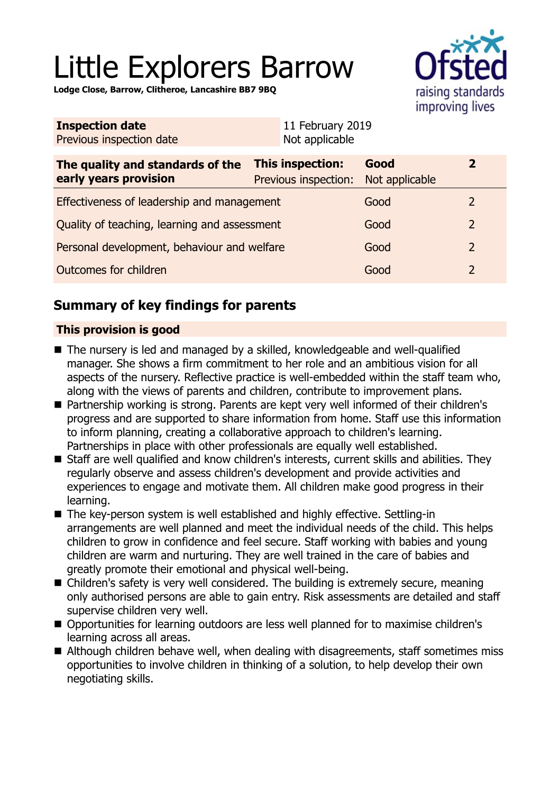# Little Explorers Barrow

**Lodge Close, Barrow, Clitheroe, Lancashire BB7 9BQ**



| <b>Inspection date</b>          | 11 February 2019 |
|---------------------------------|------------------|
| <b>Previous inspection date</b> | Not applicable   |

| The quality and standards of the<br>early years provision | This inspection:<br>Previous inspection: | Good<br>Not applicable |               |
|-----------------------------------------------------------|------------------------------------------|------------------------|---------------|
| Effectiveness of leadership and management                |                                          | Good                   | $\mathcal{L}$ |
| Quality of teaching, learning and assessment              |                                          | Good                   | $\mathcal{P}$ |
| Personal development, behaviour and welfare               |                                          | Good                   | $\mathcal{P}$ |
| Outcomes for children                                     |                                          | Good                   | $\mathcal{L}$ |

# **Summary of key findings for parents**

## **This provision is good**

- $\blacksquare$  The nursery is led and managed by a skilled, knowledgeable and well-qualified manager. She shows a firm commitment to her role and an ambitious vision for all aspects of the nursery. Reflective practice is well-embedded within the staff team who, along with the views of parents and children, contribute to improvement plans.
- Partnership working is strong. Parents are kept very well informed of their children's progress and are supported to share information from home. Staff use this information to inform planning, creating a collaborative approach to children's learning. Partnerships in place with other professionals are equally well established.
- Staff are well qualified and know children's interests, current skills and abilities. They regularly observe and assess children's development and provide activities and experiences to engage and motivate them. All children make good progress in their learning.
- The key-person system is well established and highly effective. Settling-in arrangements are well planned and meet the individual needs of the child. This helps children to grow in confidence and feel secure. Staff working with babies and young children are warm and nurturing. They are well trained in the care of babies and greatly promote their emotional and physical well-being.
- $\blacksquare$  Children's safety is very well considered. The building is extremely secure, meaning only authorised persons are able to gain entry. Risk assessments are detailed and staff supervise children very well.
- Opportunities for learning outdoors are less well planned for to maximise children's learning across all areas.
- Although children behave well, when dealing with disagreements, staff sometimes miss opportunities to involve children in thinking of a solution, to help develop their own negotiating skills.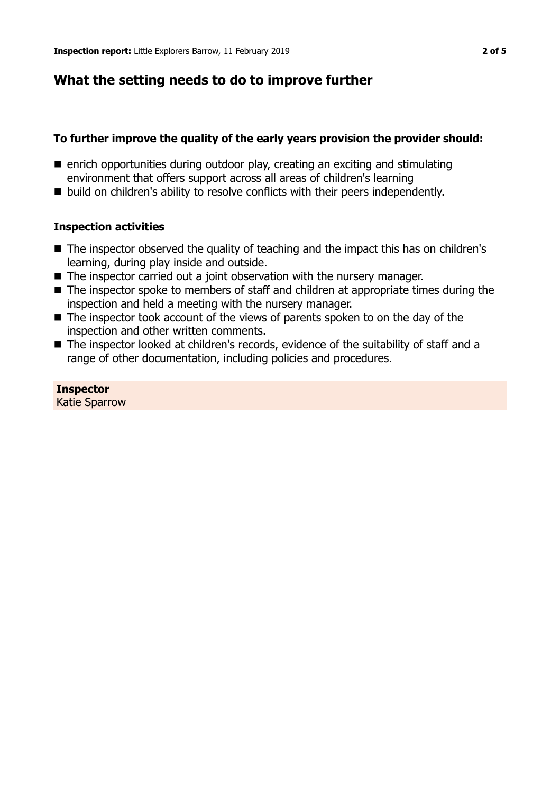## **What the setting needs to do to improve further**

#### **To further improve the quality of the early years provision the provider should:**

- $\blacksquare$  enrich opportunities during outdoor play, creating an exciting and stimulating environment that offers support across all areas of children's learning
- build on children's ability to resolve conflicts with their peers independently.

#### **Inspection activities**

- $\blacksquare$  The inspector observed the quality of teaching and the impact this has on children's learning, during play inside and outside.
- $\blacksquare$  The inspector carried out a joint observation with the nursery manager.
- $\blacksquare$  The inspector spoke to members of staff and children at appropriate times during the inspection and held a meeting with the nursery manager.
- $\blacksquare$  The inspector took account of the views of parents spoken to on the day of the inspection and other written comments.
- The inspector looked at children's records, evidence of the suitability of staff and a range of other documentation, including policies and procedures.

# **Inspector**

Katie Sparrow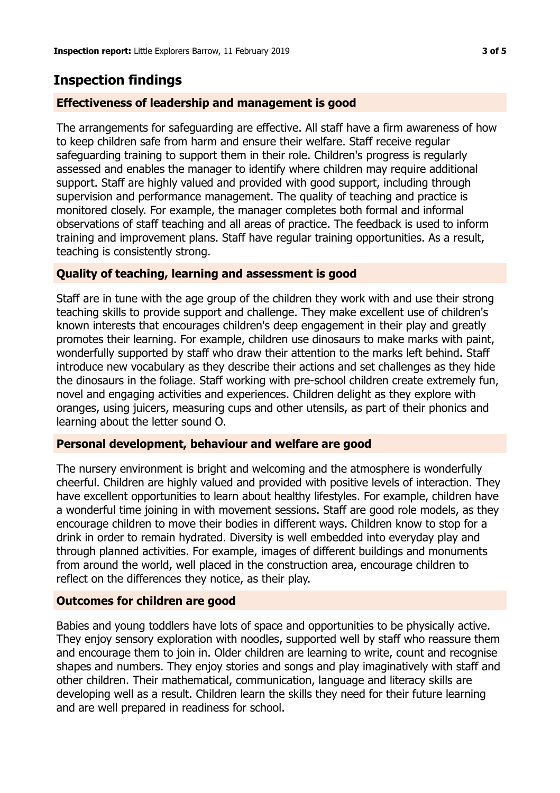## **Inspection findings**

## **Effectiveness of leadership and management is good**

The arrangements for safeguarding are effective. All staff have a firm awareness of how to keep children safe from harm and ensure their welfare. Staff receive regular safeguarding training to support them in their role. Children's progress is regularly assessed and enables the manager to identify where children may require additional support. Staff are highly valued and provided with good support, including through supervision and performance management. The quality of teaching and practice is monitored closely. For example, the manager completes both formal and informal observations of staff teaching and all areas of practice. The feedback is used to inform training and improvement plans. Staff have regular training opportunities. As a result, teaching is consistently strong.

## **Quality of teaching, learning and assessment is good**

Staff are in tune with the age group of the children they work with and use their strong teaching skills to provide support and challenge. They make excellent use of children's known interests that encourages children's deep engagement in their play and greatly promotes their learning. For example, children use dinosaurs to make marks with paint, wonderfully supported by staff who draw their attention to the marks left behind. Staff introduce new vocabulary as they describe their actions and set challenges as they hide the dinosaurs in the foliage. Staff working with pre-school children create extremely fun, novel and engaging activities and experiences. Children delight as they explore with oranges, using juicers, measuring cups and other utensils, as part of their phonics and learning about the letter sound O.

## **Personal development, behaviour and welfare are good**

The nursery environment is bright and welcoming and the atmosphere is wonderfully cheerful. Children are highly valued and provided with positive levels of interaction. They have excellent opportunities to learn about healthy lifestyles. For example, children have a wonderful time joining in with movement sessions. Staff are good role models, as they encourage children to move their bodies in different ways. Children know to stop for a drink in order to remain hydrated. Diversity is well embedded into everyday play and through planned activities. For example, images of different buildings and monuments from around the world, well placed in the construction area, encourage children to reflect on the differences they notice, as their play.

## **Outcomes for children are good**

Babies and young toddlers have lots of space and opportunities to be physically active. They enjoy sensory exploration with noodles, supported well by staff who reassure them and encourage them to join in. Older children are learning to write, count and recognise shapes and numbers. They enjoy stories and songs and play imaginatively with staff and other children. Their mathematical, communication, language and literacy skills are developing well as a result. Children learn the skills they need for their future learning and are well prepared in readiness for school.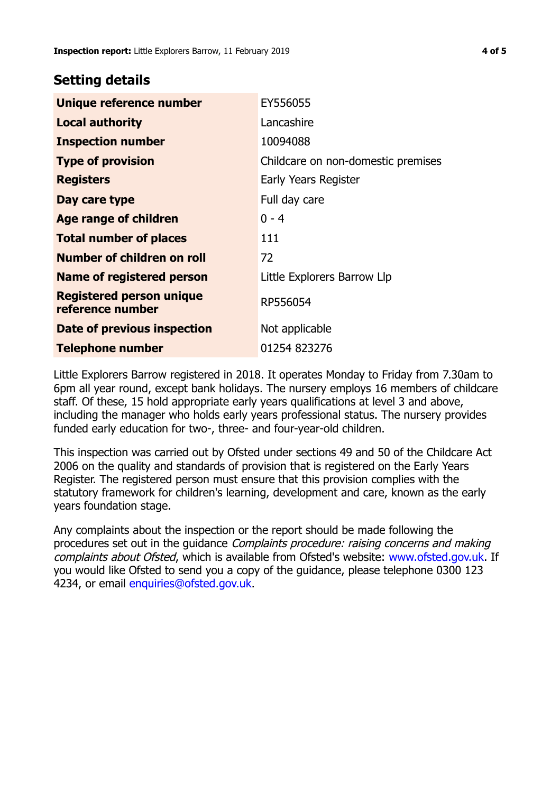## **Setting details**

| Unique reference number                             | EY556055                           |
|-----------------------------------------------------|------------------------------------|
| <b>Local authority</b>                              | Lancashire                         |
| <b>Inspection number</b>                            | 10094088                           |
| <b>Type of provision</b>                            | Childcare on non-domestic premises |
| <b>Registers</b>                                    | Early Years Register               |
| Day care type                                       | Full day care                      |
| <b>Age range of children</b>                        | $0 - 4$                            |
| <b>Total number of places</b>                       | 111                                |
| Number of children on roll                          | 72                                 |
| <b>Name of registered person</b>                    | Little Explorers Barrow Llp        |
| <b>Registered person unique</b><br>reference number | RP556054                           |
| Date of previous inspection                         | Not applicable                     |
| <b>Telephone number</b>                             | 01254 823276                       |

Little Explorers Barrow registered in 2018. It operates Monday to Friday from 7.30am to 6pm all year round, except bank holidays. The nursery employs 16 members of childcare staff. Of these, 15 hold appropriate early years qualifications at level 3 and above, including the manager who holds early years professional status. The nursery provides funded early education for two-, three- and four-year-old children.

This inspection was carried out by Ofsted under sections 49 and 50 of the Childcare Act 2006 on the quality and standards of provision that is registered on the Early Years Register. The registered person must ensure that this provision complies with the statutory framework for children's learning, development and care, known as the early years foundation stage.

Any complaints about the inspection or the report should be made following the procedures set out in the quidance *Complaints procedure: raising concerns and making* complaints about Ofsted, which is available from Ofsted's website: www.ofsted.gov.uk. If you would like Ofsted to send you a copy of the guidance, please telephone 0300 123 4234, or email [enquiries@ofsted.gov.uk.](mailto:enquiries@ofsted.gov.uk)